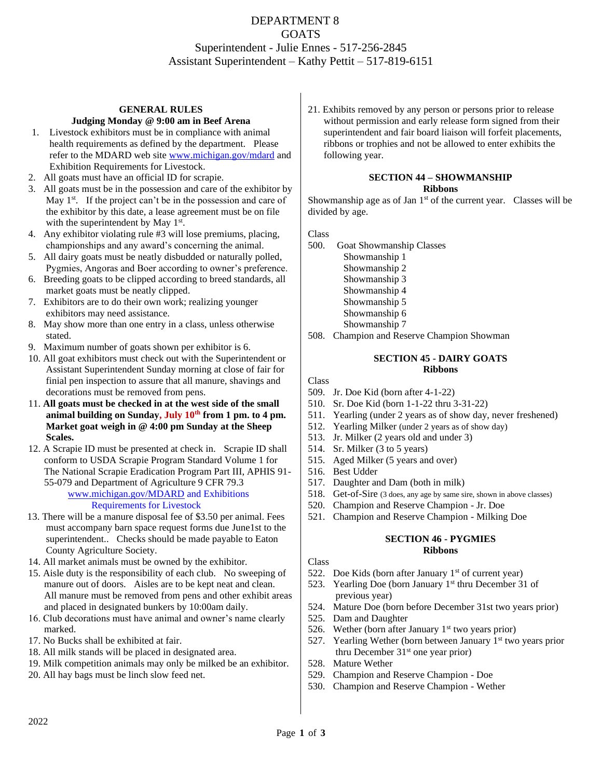# DEPARTMENT 8 GOATS Superintendent - Julie Ennes - 517-256-2845 Assistant Superintendent – Kathy Pettit – 517-819-6151

### **GENERAL RULES Judging Monday @ 9:00 am in Beef Arena**

- 1. Livestock exhibitors must be in compliance with animal health requirements as defined by the department. Please refer to the MDARD web site [www.michigan.gov/mdard](http://www.michigan.gov/mdard) and Exhibition Requirements for Livestock.
- 2. All goats must have an official ID for scrapie.
- 3. All goats must be in the possession and care of the exhibitor by May  $1<sup>st</sup>$ . If the project can't be in the possession and care of the exhibitor by this date, a lease agreement must be on file with the superintendent by May 1<sup>st</sup>.
- 4. Any exhibitor violating rule #3 will lose premiums, placing, championships and any award's concerning the animal.
- 5. All dairy goats must be neatly disbudded or naturally polled, Pygmies, Angoras and Boer according to owner's preference.
- 6. Breeding goats to be clipped according to breed standards, all market goats must be neatly clipped.
- 7. Exhibitors are to do their own work; realizing younger exhibitors may need assistance.
- 8. May show more than one entry in a class, unless otherwise stated.
- 9. Maximum number of goats shown per exhibitor is 6.
- 10. All goat exhibitors must check out with the Superintendent or Assistant Superintendent Sunday morning at close of fair for finial pen inspection to assure that all manure, shavings and decorations must be removed from pens.
- 11. **All goats must be checked in at the west side of the small animal building on Sunday, July 10 th from 1 pm. to 4 pm. Market goat weigh in @ 4:00 pm Sunday at the Sheep Scales.**
- 12. A Scrapie ID must be presented at check in. Scrapie ID shall conform to USDA Scrapie Program Standard Volume 1 for The National Scrapie Eradication Program Part III, APHIS 91- 55-079 and Department of Agriculture 9 CFR 79.3 [www.michigan.gov/MDARD](http://www.michigan.gov/MDARD) and Exhibitions

### Requirements for Livestock

- 13. There will be a manure disposal fee of \$3.50 per animal. Fees must accompany barn space request forms due June1st to the superintendent.. Checks should be made payable to Eaton County Agriculture Society.
- 14. All market animals must be owned by the exhibitor.
- 15. Aisle duty is the responsibility of each club. No sweeping of manure out of doors. Aisles are to be kept neat and clean. All manure must be removed from pens and other exhibit areas and placed in designated bunkers by 10:00am daily.
- 16. Club decorations must have animal and owner's name clearly marked.
- 17. No Bucks shall be exhibited at fair.
- 18. All milk stands will be placed in designated area.
- 19. Milk competition animals may only be milked be an exhibitor.
- 20. All hay bags must be linch slow feed net.

21. Exhibits removed by any person or persons prior to release without permission and early release form signed from their superintendent and fair board liaison will forfeit placements, ribbons or trophies and not be allowed to enter exhibits the following year.

#### **SECTION 44 – SHOWMANSHIP Ribbons**

Showmanship age as of Jan 1<sup>st</sup> of the current year. Classes will be divided by age.

Class

- 500. Goat Showmanship Classes
	- Showmanship 1 Showmanship 2 Showmanship 3 Showmanship 4 Showmanship 5 Showmanship 6 Showmanship 7
- 508. Champion and Reserve Champion Showman

### **SECTION 45 - DAIRY GOATS Ribbons**

Class

- 509. Jr. Doe Kid (born after 4-1-22)
- 510. Sr. Doe Kid (born 1-1-22 thru 3-31-22)
- 511. Yearling (under 2 years as of show day, never freshened)
- 512. Yearling Milker (under 2 years as of show day)
- 513. Jr. Milker (2 years old and under 3)
- 514. Sr. Milker (3 to 5 years)
- 515. Aged Milker (5 years and over)
- 516. Best Udder
- 517. Daughter and Dam (both in milk)
- 518. Get-of-Sire (3 does, any age by same sire, shown in above classes)
- 520. Champion and Reserve Champion Jr. Doe
- 521. Champion and Reserve Champion Milking Doe

## **SECTION 46 - PYGMIES Ribbons**

### Class

- 522. Doe Kids (born after January  $1<sup>st</sup>$  of current year)
- 523. Yearling Doe (born January  $1<sup>st</sup>$  thru December 31 of previous year)
- 524. Mature Doe (born before December 31st two years prior)
- 525. Dam and Daughter
- 526. Wether (born after January  $1<sup>st</sup>$  two years prior)
- 527. Yearling Wether (born between January  $1<sup>st</sup>$  two years prior thru December 31st one year prior)
- 528. Mature Wether
- 529. Champion and Reserve Champion Doe
- 530. Champion and Reserve Champion Wether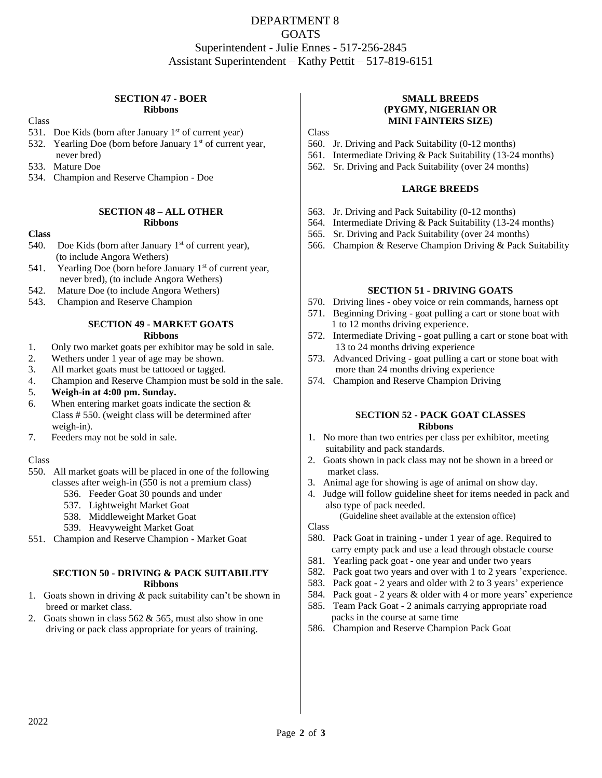# DEPARTMENT 8 GOATS Superintendent - Julie Ennes - 517-256-2845 Assistant Superintendent – Kathy Pettit – 517-819-6151

### **SECTION 47 - BOER Ribbons**

Class

- 531. Doe Kids (born after January  $1<sup>st</sup>$  of current year)
- 532. Yearling Doe (born before January  $1<sup>st</sup>$  of current year, never bred)
- 533. Mature Doe
- 534. Champion and Reserve Champion Doe

### **SECTION 48 – ALL OTHER Ribbons**

# **Class**

- 540. Doe Kids (born after January  $1<sup>st</sup>$  of current year), (to include Angora Wethers)
- 541. Yearling Doe (born before January  $1<sup>st</sup>$  of current year, never bred), (to include Angora Wethers)
- 542. Mature Doe (to include Angora Wethers)
- 543. Champion and Reserve Champion

### **SECTION 49 - MARKET GOATS Ribbons**

- 1. Only two market goats per exhibitor may be sold in sale.
- 2. Wethers under 1 year of age may be shown.
- 3. All market goats must be tattooed or tagged.
- 4. Champion and Reserve Champion must be sold in the sale.
- 5. **Weigh-in at 4:00 pm. Sunday.**
- 6. When entering market goats indicate the section  $&$  Class # 550. (weight class will be determined after weigh-in).
- 7. Feeders may not be sold in sale.

# Class

- 550. All market goats will be placed in one of the following classes after weigh-in (550 is not a premium class)
	- 536. Feeder Goat 30 pounds and under
	- 537. Lightweight Market Goat
	- 538. Middleweight Market Goat
	- 539. Heavyweight Market Goat
- 551. Champion and Reserve Champion Market Goat

# **SECTION 50 - DRIVING & PACK SUITABILITY Ribbons**

- 1. Goats shown in driving & pack suitability can't be shown in breed or market class.
- 2. Goats shown in class 562 & 565, must also show in one driving or pack class appropriate for years of training.

## **SMALL BREEDS (PYGMY, NIGERIAN OR MINI FAINTERS SIZE)**

Class

- 560. Jr. Driving and Pack Suitability (0-12 months)
- 561. Intermediate Driving & Pack Suitability (13-24 months)
- 562. Sr. Driving and Pack Suitability (over 24 months)

# **LARGE BREEDS**

- 563. Jr. Driving and Pack Suitability (0-12 months)
- 564. Intermediate Driving & Pack Suitability (13-24 months)
- 565. Sr. Driving and Pack Suitability (over 24 months)
- 566. Champion & Reserve Champion Driving & Pack Suitability

## **SECTION 51 - DRIVING GOATS**

- 570. Driving lines obey voice or rein commands, harness opt
- 571. Beginning Driving goat pulling a cart or stone boat with 1 to 12 months driving experience.
- 572. Intermediate Driving goat pulling a cart or stone boat with 13 to 24 months driving experience
- 573. Advanced Driving goat pulling a cart or stone boat with more than 24 months driving experience
- 574. Champion and Reserve Champion Driving

### **SECTION 52 - PACK GOAT CLASSES Ribbons**

- 1. No more than two entries per class per exhibitor, meeting suitability and pack standards.
- 2. Goats shown in pack class may not be shown in a breed or market class.
- 3. Animal age for showing is age of animal on show day.
- 4. Judge will follow guideline sheet for items needed in pack and also type of pack needed.

(Guideline sheet available at the extension office)

Class

- 580. Pack Goat in training under 1 year of age. Required to carry empty pack and use a lead through obstacle course
- 581. Yearling pack goat one year and under two years
- 582. Pack goat two years and over with 1 to 2 years 'experience.
- 583. Pack goat 2 years and older with 2 to 3 years' experience
- 584. Pack goat 2 years & older with 4 or more years' experience
- 585. Team Pack Goat 2 animals carrying appropriate road packs in the course at same time
- 586. Champion and Reserve Champion Pack Goat